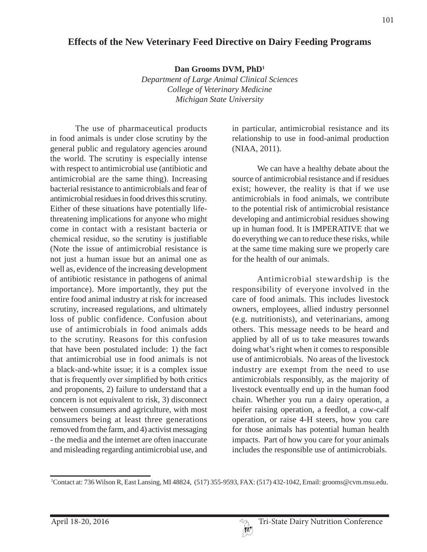## **Effects of the New Veterinary Feed Directive on Dairy Feeding Programs**

**Dan Grooms DVM, PhD1**

*Department of Large Animal Clinical Sciences College of Veterinary Medicine Michigan State University*

The use of pharmaceutical products in food animals is under close scrutiny by the general public and regulatory agencies around the world. The scrutiny is especially intense with respect to antimicrobial use (antibiotic and antimicrobial are the same thing). Increasing bacterial resistance to antimicrobials and fear of antimicrobial residues in food drives this scrutiny. Either of these situations have potentially lifethreatening implications for anyone who might come in contact with a resistant bacteria or chemical residue, so the scrutiny is justifiable (Note the issue of antimicrobial resistance is not just a human issue but an animal one as well as, evidence of the increasing development of antibiotic resistance in pathogens of animal importance). More importantly, they put the entire food animal industry at risk for increased scrutiny, increased regulations, and ultimately loss of public confidence. Confusion about use of antimicrobials in food animals adds to the scrutiny. Reasons for this confusion that have been postulated include: 1) the fact that antimicrobial use in food animals is not a black-and-white issue; it is a complex issue that is frequently over simplified by both critics and proponents, 2) failure to understand that a concern is not equivalent to risk, 3) disconnect between consumers and agriculture, with most consumers being at least three generations removed from the farm, and 4) activist messaging - the media and the internet are often inaccurate and misleading regarding antimicrobial use, and

in particular, antimicrobial resistance and its relationship to use in food-animal production (NIAA, 2011).

We can have a healthy debate about the source of antimicrobial resistance and if residues exist; however, the reality is that if we use antimicrobials in food animals, we contribute to the potential risk of antimicrobial resistance developing and antimicrobial residues showing up in human food. It is IMPERATIVE that we do everything we can to reduce these risks, while at the same time making sure we properly care for the health of our animals.

Antimicrobial stewardship is the responsibility of everyone involved in the care of food animals. This includes livestock owners, employees, allied industry personnel (e.g. nutritionists), and veterinarians, among others. This message needs to be heard and applied by all of us to take measures towards doing what's right when it comes to responsible use of antimicrobials. No areas of the livestock industry are exempt from the need to use antimicrobials responsibly, as the majority of livestock eventually end up in the human food chain. Whether you run a dairy operation, a heifer raising operation, a feedlot, a cow-calf operation, or raise 4-H steers, how you care for those animals has potential human health impacts. Part of how you care for your animals includes the responsible use of antimicrobials.

<sup>1</sup> Contact at: 736 Wilson R, East Lansing, MI 48824, (517) 355-9593, FAX: (517) 432-1042, Email: grooms@cvm.msu.edu.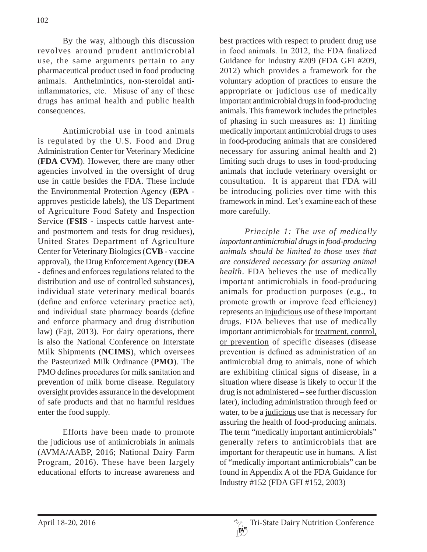By the way, although this discussion revolves around prudent antimicrobial use, the same arguments pertain to any pharmaceutical product used in food producing animals. Anthelmintics, non-steroidal antiinflammatories, etc. Misuse of any of these drugs has animal health and public health consequences.

Antimicrobial use in food animals is regulated by the U.S. Food and Drug Administration Center for Veterinary Medicine (**FDA CVM**). However, there are many other agencies involved in the oversight of drug use in cattle besides the FDA. These include the Environmental Protection Agency (**EPA** approves pesticide labels), the US Department of Agriculture Food Safety and Inspection Service (**FSIS** - inspects cattle harvest anteand postmortem and tests for drug residues), United States Department of Agriculture Center for Veterinary Biologics (**CVB** - vaccine approval), the Drug Enforcement Agency (**DEA**  - defines and enforces regulations related to the distribution and use of controlled substances), individual state veterinary medical boards (define and enforce veterinary practice act), and individual state pharmacy boards (define and enforce pharmacy and drug distribution law) (Fajt, 2013). For dairy operations, there is also the National Conference on Interstate Milk Shipments (**NCIMS**), which oversees the Pasteurized Milk Ordinance (**PMO**). The PMO defines procedures for milk sanitation and prevention of milk borne disease. Regulatory oversight provides assurance in the development of safe products and that no harmful residues enter the food supply.

Efforts have been made to promote the judicious use of antimicrobials in animals (AVMA/AABP, 2016; National Dairy Farm Program, 2016). These have been largely educational efforts to increase awareness and best practices with respect to prudent drug use in food animals. In 2012, the FDA finalized Guidance for Industry #209 (FDA GFI #209, 2012) which provides a framework for the voluntary adoption of practices to ensure the appropriate or judicious use of medically important antimicrobial drugs in food-producing animals. This framework includes the principles of phasing in such measures as: 1) limiting medically important antimicrobial drugs to uses in food-producing animals that are considered necessary for assuring animal health and 2) limiting such drugs to uses in food-producing animals that include veterinary oversight or consultation. It is apparent that FDA will be introducing policies over time with this framework in mind. Let's examine each of these more carefully.

*Principle 1: The use of medically important antimicrobial drugs in food-producing animals should be limited to those uses that are considered necessary for assuring animal health*. FDA believes the use of medically important antimicrobials in food-producing animals for production purposes (e.g., to promote growth or improve feed efficiency) represents an injudicious use of these important drugs. FDA believes that use of medically important antimicrobials for treatment, control, or prevention of specific diseases (disease prevention is defined as administration of an antimicrobial drug to animals, none of which are exhibiting clinical signs of disease, in a situation where disease is likely to occur if the drug is not administered – see further discussion later), including administration through feed or water, to be a judicious use that is necessary for assuring the health of food-producing animals. The term "medically important antimicrobials" generally refers to antimicrobials that are important for therapeutic use in humans. A list of "medically important antimicrobials" can be found in Appendix A of the FDA Guidance for Industry #152 (FDA GFI #152, 2003)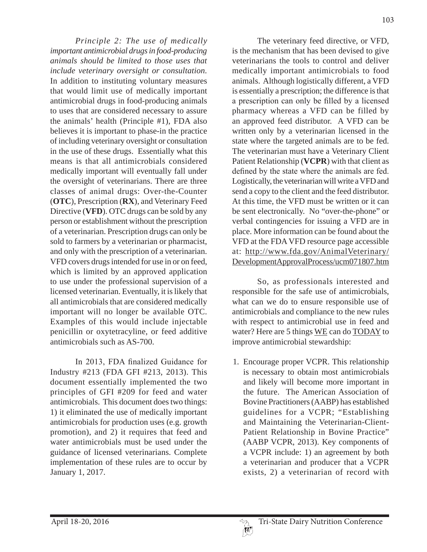*Principle 2: The use of medically important antimicrobial drugs in food-producing animals should be limited to those uses that include veterinary oversight or consultation.*  In addition to instituting voluntary measures that would limit use of medically important antimicrobial drugs in food-producing animals to uses that are considered necessary to assure the animals' health (Principle #1), FDA also believes it is important to phase-in the practice of including veterinary oversight or consultation in the use of these drugs. Essentially what this means is that all antimicrobials considered medically important will eventually fall under the oversight of veterinarians. There are three classes of animal drugs: Over-the-Counter (**OTC**), Prescription (**RX**), and Veterinary Feed Directive (**VFD**). OTC drugs can be sold by any person or establishment without the prescription of a veterinarian. Prescription drugs can only be sold to farmers by a veterinarian or pharmacist, and only with the prescription of a veterinarian. VFD covers drugs intended for use in or on feed, which is limited by an approved application to use under the professional supervision of a licensed veterinarian. Eventually, it is likely that all antimicrobials that are considered medically important will no longer be available OTC. Examples of this would include injectable penicillin or oxytetracyline, or feed additive antimicrobials such as AS-700.

In 2013, FDA finalized Guidance for Industry #213 (FDA GFI #213, 2013). This document essentially implemented the two principles of GFI #209 for feed and water antimicrobials. This document does two things: 1) it eliminated the use of medically important antimicrobials for production uses (e.g. growth promotion), and 2) it requires that feed and water antimicrobials must be used under the guidance of licensed veterinarians. Complete implementation of these rules are to occur by January 1, 2017.

The veterinary feed directive, or VFD, is the mechanism that has been devised to give veterinarians the tools to control and deliver medically important antimicrobials to food animals. Although logistically different, a VFD is essentially a prescription; the difference is that a prescription can only be filled by a licensed pharmacy whereas a VFD can be filled by an approved feed distributor. A VFD can be written only by a veterinarian licensed in the state where the targeted animals are to be fed. The veterinarian must have a Veterinary Client Patient Relationship (**VCPR**) with that client as defined by the state where the animals are fed. Logistically, the veterinarian will write a VFD and send a copy to the client and the feed distributor. At this time, the VFD must be written or it can be sent electronically. No "over-the-phone" or verbal contingencies for issuing a VFD are in place. More information can be found about the VFD at the FDA VFD resource page accessible at: http://www.fda.gov/AnimalVeterinary/ DevelopmentApprovalProcess/ucm071807.htm

So, as professionals interested and responsible for the safe use of antimicrobials, what can we do to ensure responsible use of antimicrobials and compliance to the new rules with respect to antimicrobial use in feed and water? Here are 5 things WE can do TODAY to improve antimicrobial stewardship:

1. Encourage proper VCPR. This relationship is necessary to obtain most antimicrobials and likely will become more important in the future. The American Association of Bovine Practitioners (AABP) has established guidelines for a VCPR; "Establishing and Maintaining the Veterinarian-Client-Patient Relationship in Bovine Practice" (AABP VCPR, 2013). Key components of a VCPR include: 1) an agreement by both a veterinarian and producer that a VCPR exists, 2) a veterinarian of record with

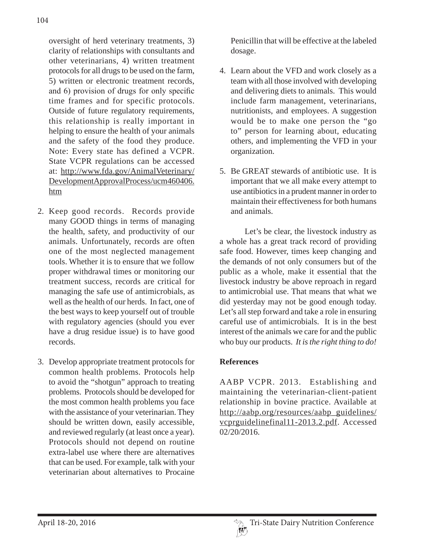oversight of herd veterinary treatments, 3) clarity of relationships with consultants and other veterinarians, 4) written treatment protocols for all drugs to be used on the farm, 5) written or electronic treatment records, and 6) provision of drugs for only specific time frames and for specific protocols. Outside of future regulatory requirements, this relationship is really important in helping to ensure the health of your animals and the safety of the food they produce. Note: Every state has defined a VCPR. State VCPR regulations can be accessed at: http://www.fda.gov/AnimalVeterinary/ DevelopmentApprovalProcess/ucm460406. htm

- 2. Keep good records. Records provide many GOOD things in terms of managing the health, safety, and productivity of our animals. Unfortunately, records are often one of the most neglected management tools. Whether it is to ensure that we follow proper withdrawal times or monitoring our treatment success, records are critical for managing the safe use of antimicrobials, as well as the health of our herds. In fact, one of the best ways to keep yourself out of trouble with regulatory agencies (should you ever have a drug residue issue) is to have good records.
- 3. Develop appropriate treatment protocols for common health problems. Protocols help to avoid the "shotgun" approach to treating problems. Protocols should be developed for the most common health problems you face with the assistance of your veterinarian. They should be written down, easily accessible, and reviewed regularly (at least once a year). Protocols should not depend on routine extra-label use where there are alternatives that can be used. For example, talk with your veterinarian about alternatives to Procaine

Penicillin that will be effective at the labeled dosage.

- 4. Learn about the VFD and work closely as a team with all those involved with developing and delivering diets to animals. This would include farm management, veterinarians, nutritionists, and employees. A suggestion would be to make one person the "go to" person for learning about, educating others, and implementing the VFD in your organization.
- 5. Be GREAT stewards of antibiotic use. It is important that we all make every attempt to use antibiotics in a prudent manner in order to maintain their effectiveness for both humans and animals.

Let's be clear, the livestock industry as a whole has a great track record of providing safe food. However, times keep changing and the demands of not only consumers but of the public as a whole, make it essential that the livestock industry be above reproach in regard to antimicrobial use. That means that what we did yesterday may not be good enough today. Let's all step forward and take a role in ensuring careful use of antimicrobials. It is in the best interest of the animals we care for and the public who buy our products. *It is the right thing to do!*

## **References**

AABP VCPR. 2013. Establishing and maintaining the veterinarian-client-patient relationship in bovine practice. Available at http://aabp.org/resources/aabp\_guidelines/ vcprguidelinefinal11-2013.2.pdf. Accessed 02/20/2016.